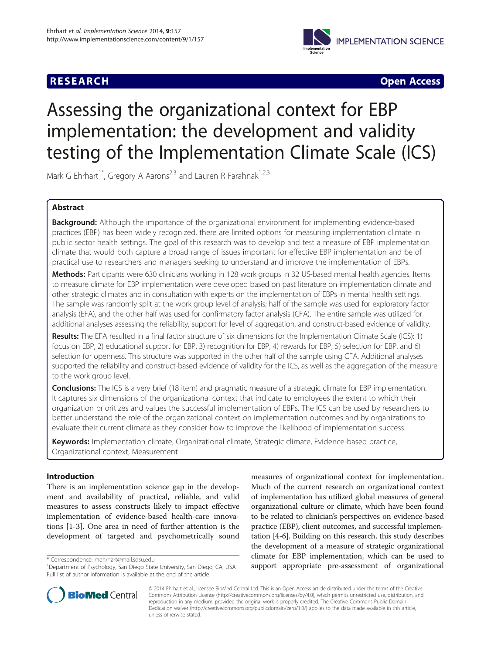

**RESEARCH RESEARCH** *CHECK <b>CHECK* 

# Assessing the organizational context for EBP implementation: the development and validity testing of the Implementation Climate Scale (ICS)

Mark G Ehrhart<sup>1\*</sup>, Gregory A Aarons<sup>2,3</sup> and Lauren R Farahnak<sup>1,2,3</sup>

# Abstract

Background: Although the importance of the organizational environment for implementing evidence-based practices (EBP) has been widely recognized, there are limited options for measuring implementation climate in public sector health settings. The goal of this research was to develop and test a measure of EBP implementation climate that would both capture a broad range of issues important for effective EBP implementation and be of practical use to researchers and managers seeking to understand and improve the implementation of EBPs.

Methods: Participants were 630 clinicians working in 128 work groups in 32 US-based mental health agencies. Items to measure climate for EBP implementation were developed based on past literature on implementation climate and other strategic climates and in consultation with experts on the implementation of EBPs in mental health settings. The sample was randomly split at the work group level of analysis; half of the sample was used for exploratory factor analysis (EFA), and the other half was used for confirmatory factor analysis (CFA). The entire sample was utilized for additional analyses assessing the reliability, support for level of aggregation, and construct-based evidence of validity.

Results: The EFA resulted in a final factor structure of six dimensions for the Implementation Climate Scale (ICS): 1) focus on EBP, 2) educational support for EBP, 3) recognition for EBP, 4) rewards for EBP, 5) selection for EBP, and 6) selection for openness. This structure was supported in the other half of the sample using CFA. Additional analyses supported the reliability and construct-based evidence of validity for the ICS, as well as the aggregation of the measure to the work group level.

Conclusions: The ICS is a very brief (18 item) and pragmatic measure of a strategic climate for EBP implementation. It captures six dimensions of the organizational context that indicate to employees the extent to which their organization prioritizes and values the successful implementation of EBPs. The ICS can be used by researchers to better understand the role of the organizational context on implementation outcomes and by organizations to evaluate their current climate as they consider how to improve the likelihood of implementation success.

Keywords: Implementation climate, Organizational climate, Strategic climate, Evidence-based practice, Organizational context, Measurement

# Introduction

There is an implementation science gap in the development and availability of practical, reliable, and valid measures to assess constructs likely to impact effective implementation of evidence-based health-care innovations [[1-3](#page-9-0)]. One area in need of further attention is the development of targeted and psychometrically sound

measures of organizational context for implementation. Much of the current research on organizational context of implementation has utilized global measures of general organizational culture or climate, which have been found to be related to clinician's perspectives on evidence-based practice (EBP), client outcomes, and successful implementation [\[4-6](#page-9-0)]. Building on this research, this study describes the development of a measure of strategic organizational climate for EBP implementation, which can be used to \* Correspondence: [mehrhart@mail.sdsu.edu](mailto:mehrhart@mail.sdsu.edu)<br>
<sup>1</sup>Department of Psychology, San Diego State University, San Diego, CA, USA **bureaur is a support appropriate** pre-assessment of organizational



© 2014 Ehrhart et al.; licensee BioMed Central Ltd. This is an Open Access article distributed under the terms of the Creative Commons Attribution License [\(http://creativecommons.org/licenses/by/4.0\)](http://creativecommons.org/licenses/by/4.0), which permits unrestricted use, distribution, and reproduction in any medium, provided the original work is properly credited. The Creative Commons Public Domain Dedication waiver [\(http://creativecommons.org/publicdomain/zero/1.0/](http://creativecommons.org/publicdomain/zero/1.0/)) applies to the data made available in this article, unless otherwise stated.

Department of Psychology, San Diego State University, San Diego, CA, USA Full list of author information is available at the end of the article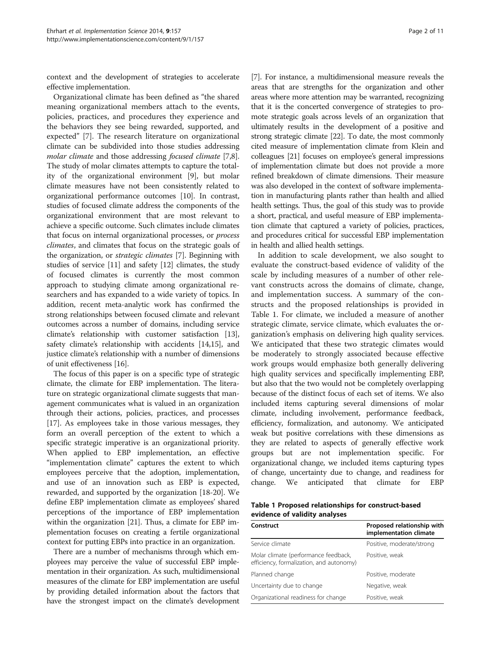context and the development of strategies to accelerate effective implementation.

Organizational climate has been defined as "the shared meaning organizational members attach to the events, policies, practices, and procedures they experience and the behaviors they see being rewarded, supported, and expected" [[7\]](#page-10-0). The research literature on organizational climate can be subdivided into those studies addressing molar climate and those addressing focused climate [[7](#page-10-0),[8](#page-10-0)]. The study of molar climates attempts to capture the totality of the organizational environment [[9](#page-10-0)], but molar climate measures have not been consistently related to organizational performance outcomes [[10](#page-10-0)]. In contrast, studies of focused climate address the components of the organizational environment that are most relevant to achieve a specific outcome. Such climates include climates that focus on internal organizational processes, or process climates, and climates that focus on the strategic goals of the organization, or strategic climates [[7\]](#page-10-0). Beginning with studies of service [[11](#page-10-0)] and safety [[12](#page-10-0)] climates, the study of focused climates is currently the most common approach to studying climate among organizational researchers and has expanded to a wide variety of topics. In addition, recent meta-analytic work has confirmed the strong relationships between focused climate and relevant outcomes across a number of domains, including service climate's relationship with customer satisfaction [[13](#page-10-0)], safety climate's relationship with accidents [\[14,15](#page-10-0)], and justice climate's relationship with a number of dimensions of unit effectiveness [\[16](#page-10-0)].

The focus of this paper is on a specific type of strategic climate, the climate for EBP implementation. The literature on strategic organizational climate suggests that management communicates what is valued in an organization through their actions, policies, practices, and processes [[17](#page-10-0)]. As employees take in those various messages, they form an overall perception of the extent to which a specific strategic imperative is an organizational priority. When applied to EBP implementation, an effective "implementation climate" captures the extent to which employees perceive that the adoption, implementation, and use of an innovation such as EBP is expected, rewarded, and supported by the organization [\[18-20\]](#page-10-0). We define EBP implementation climate as employees' shared perceptions of the importance of EBP implementation within the organization [[21](#page-10-0)]. Thus, a climate for EBP implementation focuses on creating a fertile organizational context for putting EBPs into practice in an organization.

There are a number of mechanisms through which employees may perceive the value of successful EBP implementation in their organization. As such, multidimensional measures of the climate for EBP implementation are useful by providing detailed information about the factors that have the strongest impact on the climate's development

[[7](#page-10-0)]. For instance, a multidimensional measure reveals the areas that are strengths for the organization and other areas where more attention may be warranted, recognizing that it is the concerted convergence of strategies to promote strategic goals across levels of an organization that ultimately results in the development of a positive and strong strategic climate [[22](#page-10-0)]. To date, the most commonly cited measure of implementation climate from Klein and colleagues [\[21\]](#page-10-0) focuses on employee's general impressions of implementation climate but does not provide a more refined breakdown of climate dimensions. Their measure was also developed in the context of software implementation in manufacturing plants rather than health and allied health settings. Thus, the goal of this study was to provide a short, practical, and useful measure of EBP implementation climate that captured a variety of policies, practices, and procedures critical for successful EBP implementation in health and allied health settings.

In addition to scale development, we also sought to evaluate the construct-based evidence of validity of the scale by including measures of a number of other relevant constructs across the domains of climate, change, and implementation success. A summary of the constructs and the proposed relationships is provided in Table 1. For climate, we included a measure of another strategic climate, service climate, which evaluates the organization's emphasis on delivering high quality services. We anticipated that these two strategic climates would be moderately to strongly associated because effective work groups would emphasize both generally delivering high quality services and specifically implementing EBP, but also that the two would not be completely overlapping because of the distinct focus of each set of items. We also included items capturing several dimensions of molar climate, including involvement, performance feedback, efficiency, formalization, and autonomy. We anticipated weak but positive correlations with these dimensions as they are related to aspects of generally effective work groups but are not implementation specific. For organizational change, we included items capturing types of change, uncertainty due to change, and readiness for change. We anticipated that climate for EBP

Table 1 Proposed relationships for construct-based evidence of validity analyses

| Construct                                                                        | Proposed relationship with<br>implementation climate |
|----------------------------------------------------------------------------------|------------------------------------------------------|
| Service climate                                                                  | Positive, moderate/strong                            |
| Molar climate (performance feedback,<br>efficiency, formalization, and autonomy) | Positive, weak                                       |
| Planned change                                                                   | Positive, moderate                                   |
| Uncertainty due to change                                                        | Negative, weak                                       |
| Organizational readiness for change                                              | Positive, weak                                       |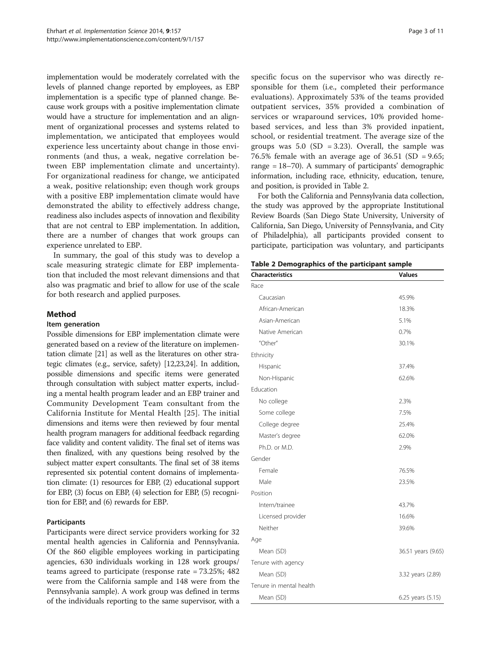implementation would be moderately correlated with the levels of planned change reported by employees, as EBP implementation is a specific type of planned change. Because work groups with a positive implementation climate would have a structure for implementation and an alignment of organizational processes and systems related to implementation, we anticipated that employees would experience less uncertainty about change in those environments (and thus, a weak, negative correlation between EBP implementation climate and uncertainty). For organizational readiness for change, we anticipated a weak, positive relationship; even though work groups with a positive EBP implementation climate would have demonstrated the ability to effectively address change, readiness also includes aspects of innovation and flexibility that are not central to EBP implementation. In addition, there are a number of changes that work groups can experience unrelated to EBP.

In summary, the goal of this study was to develop a scale measuring strategic climate for EBP implementation that included the most relevant dimensions and that also was pragmatic and brief to allow for use of the scale for both research and applied purposes.

# Method

#### Item generation

Possible dimensions for EBP implementation climate were generated based on a review of the literature on implementation climate [\[21\]](#page-10-0) as well as the literatures on other strategic climates (e.g., service, safety) [\[12,23,24\]](#page-10-0). In addition, possible dimensions and specific items were generated through consultation with subject matter experts, including a mental health program leader and an EBP trainer and Community Development Team consultant from the California Institute for Mental Health [[25\]](#page-10-0). The initial dimensions and items were then reviewed by four mental health program managers for additional feedback regarding face validity and content validity. The final set of items was then finalized, with any questions being resolved by the subject matter expert consultants. The final set of 38 items represented six potential content domains of implementation climate: (1) resources for EBP, (2) educational support for EBP, (3) focus on EBP, (4) selection for EBP, (5) recognition for EBP, and (6) rewards for EBP.

#### Participants

Participants were direct service providers working for 32 mental health agencies in California and Pennsylvania. Of the 860 eligible employees working in participating agencies, 630 individuals working in 128 work groups/ teams agreed to participate (response rate = 73.25%; 482 were from the California sample and 148 were from the Pennsylvania sample). A work group was defined in terms of the individuals reporting to the same supervisor, with a specific focus on the supervisor who was directly responsible for them (i.e., completed their performance evaluations). Approximately 53% of the teams provided outpatient services, 35% provided a combination of services or wraparound services, 10% provided homebased services, and less than 3% provided inpatient, school, or residential treatment. The average size of the groups was 5.0 (SD = 3.23). Overall, the sample was 76.5% female with an average age of  $36.51$  (SD =  $9.65$ ; range = 18–70). A summary of participants' demographic information, including race, ethnicity, education, tenure, and position, is provided in Table 2.

For both the California and Pennsylvania data collection, the study was approved by the appropriate Institutional Review Boards (San Diego State University, University of California, San Diego, University of Pennsylvania, and City of Philadelphia), all participants provided consent to participate, participation was voluntary, and participants

|  |  | Table 2 Demographics of the participant sample |  |  |  |  |
|--|--|------------------------------------------------|--|--|--|--|
|--|--|------------------------------------------------|--|--|--|--|

| <b>Characteristics</b>  | <b>Values</b>      |
|-------------------------|--------------------|
| Race                    |                    |
| Caucasian               | 45.9%              |
| African-American        | 18.3%              |
| Asian-American          | 5.1%               |
| Native American         | 0.7%               |
| "Other"                 | 30.1%              |
| Ethnicity               |                    |
| Hispanic                | 37.4%              |
| Non-Hispanic            | 62.6%              |
| Education               |                    |
| No college              | 2.3%               |
| Some college            | 7.5%               |
| College degree          | 25.4%              |
| Master's degree         | 62.0%              |
| Ph.D. or M.D.           | 2.9%               |
| Gender                  |                    |
| Female                  | 76.5%              |
| Male                    | 23.5%              |
| Position                |                    |
| Intern/trainee          | 43.7%              |
| Licensed provider       | 16.6%              |
| Neither                 | 39.6%              |
| Age                     |                    |
| Mean (SD)               | 36.51 years (9.65) |
| Tenure with agency      |                    |
| Mean (SD)               | 3.32 years (2.89)  |
| Tenure in mental health |                    |
| Mean (SD)               | 6.25 years (5.15)  |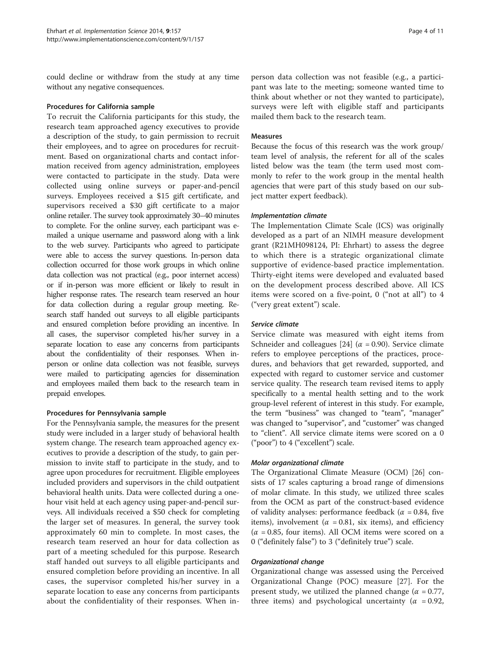could decline or withdraw from the study at any time without any negative consequences.

#### Procedures for California sample

To recruit the California participants for this study, the research team approached agency executives to provide a description of the study, to gain permission to recruit their employees, and to agree on procedures for recruitment. Based on organizational charts and contact information received from agency administration, employees were contacted to participate in the study. Data were collected using online surveys or paper-and-pencil surveys. Employees received a \$15 gift certificate, and supervisors received a \$30 gift certificate to a major online retailer. The survey took approximately 30–40 minutes to complete. For the online survey, each participant was emailed a unique username and password along with a link to the web survey. Participants who agreed to participate were able to access the survey questions. In-person data collection occurred for those work groups in which online data collection was not practical (e.g., poor internet access) or if in-person was more efficient or likely to result in higher response rates. The research team reserved an hour for data collection during a regular group meeting. Research staff handed out surveys to all eligible participants and ensured completion before providing an incentive. In all cases, the supervisor completed his/her survey in a separate location to ease any concerns from participants about the confidentiality of their responses. When inperson or online data collection was not feasible, surveys were mailed to participating agencies for dissemination and employees mailed them back to the research team in prepaid envelopes.

# Procedures for Pennsylvania sample

For the Pennsylvania sample, the measures for the present study were included in a larger study of behavioral health system change. The research team approached agency executives to provide a description of the study, to gain permission to invite staff to participate in the study, and to agree upon procedures for recruitment. Eligible employees included providers and supervisors in the child outpatient behavioral health units. Data were collected during a onehour visit held at each agency using paper-and-pencil surveys. All individuals received a \$50 check for completing the larger set of measures. In general, the survey took approximately 60 min to complete. In most cases, the research team reserved an hour for data collection as part of a meeting scheduled for this purpose. Research staff handed out surveys to all eligible participants and ensured completion before providing an incentive. In all cases, the supervisor completed his/her survey in a separate location to ease any concerns from participants about the confidentiality of their responses. When in-

person data collection was not feasible (e.g., a participant was late to the meeting; someone wanted time to think about whether or not they wanted to participate), surveys were left with eligible staff and participants mailed them back to the research team.

# **Measures**

Because the focus of this research was the work group/ team level of analysis, the referent for all of the scales listed below was the team (the term used most commonly to refer to the work group in the mental health agencies that were part of this study based on our subject matter expert feedback).

### Implementation climate

The Implementation Climate Scale (ICS) was originally developed as a part of an NIMH measure development grant (R21MH098124, PI: Ehrhart) to assess the degree to which there is a strategic organizational climate supportive of evidence-based practice implementation. Thirty-eight items were developed and evaluated based on the development process described above. All ICS items were scored on a five-point, 0 ("not at all") to 4 ("very great extent") scale.

### Service climate

Service climate was measured with eight items from Schneider and colleagues [[24\]](#page-10-0) ( $\alpha$  = 0.90). Service climate refers to employee perceptions of the practices, procedures, and behaviors that get rewarded, supported, and expected with regard to customer service and customer service quality. The research team revised items to apply specifically to a mental health setting and to the work group-level referent of interest in this study. For example, the term "business" was changed to "team", "manager" was changed to "supervisor", and "customer" was changed to "client". All service climate items were scored on a 0 ("poor") to 4 ("excellent") scale.

# Molar organizational climate

The Organizational Climate Measure (OCM) [[26\]](#page-10-0) consists of 17 scales capturing a broad range of dimensions of molar climate. In this study, we utilized three scales from the OCM as part of the construct-based evidence of validity analyses: performance feedback ( $\alpha$  = 0.84, five items), involvement ( $\alpha$  = 0.81, six items), and efficiency  $(\alpha = 0.85,$  four items). All OCM items were scored on a 0 ("definitely false") to 3 ("definitely true") scale.

#### Organizational change

Organizational change was assessed using the Perceived Organizational Change (POC) measure [[27\]](#page-10-0). For the present study, we utilized the planned change ( $\alpha = 0.77$ , three items) and psychological uncertainty ( $\alpha$  = 0.92,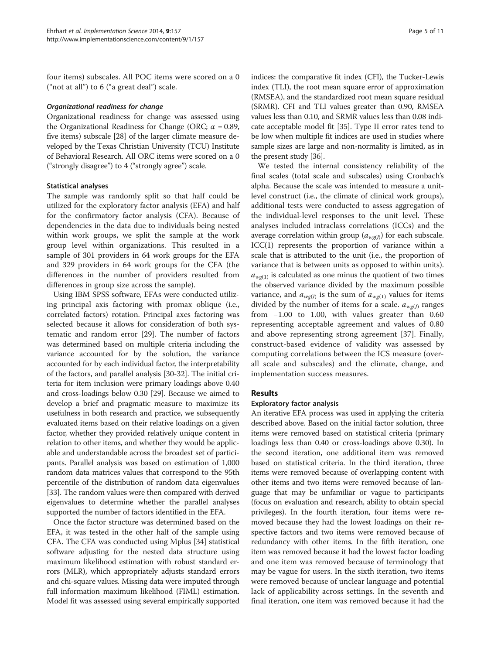four items) subscales. All POC items were scored on a 0 ("not at all") to 6 ("a great deal") scale.

#### Organizational readiness for change

Organizational readiness for change was assessed using the Organizational Readiness for Change (ORC;  $\alpha = 0.89$ , five items) subscale [[28](#page-10-0)] of the larger climate measure developed by the Texas Christian University (TCU) Institute of Behavioral Research. All ORC items were scored on a 0 ("strongly disagree") to 4 ("strongly agree") scale.

#### Statistical analyses

The sample was randomly split so that half could be utilized for the exploratory factor analysis (EFA) and half for the confirmatory factor analysis (CFA). Because of dependencies in the data due to individuals being nested within work groups, we split the sample at the work group level within organizations. This resulted in a sample of 301 providers in 64 work groups for the EFA and 329 providers in 64 work groups for the CFA (the differences in the number of providers resulted from differences in group size across the sample).

Using IBM SPSS software, EFAs were conducted utilizing principal axis factoring with promax oblique (i.e., correlated factors) rotation. Principal axes factoring was selected because it allows for consideration of both systematic and random error [[29](#page-10-0)]. The number of factors was determined based on multiple criteria including the variance accounted for by the solution, the variance accounted for by each individual factor, the interpretability of the factors, and parallel analysis [\[30-32](#page-10-0)]. The initial criteria for item inclusion were primary loadings above 0.40 and cross-loadings below 0.30 [[29\]](#page-10-0). Because we aimed to develop a brief and pragmatic measure to maximize its usefulness in both research and practice, we subsequently evaluated items based on their relative loadings on a given factor, whether they provided relatively unique content in relation to other items, and whether they would be applicable and understandable across the broadest set of participants. Parallel analysis was based on estimation of 1,000 random data matrices values that correspond to the 95th percentile of the distribution of random data eigenvalues [[33](#page-10-0)]. The random values were then compared with derived eigenvalues to determine whether the parallel analyses supported the number of factors identified in the EFA.

Once the factor structure was determined based on the EFA, it was tested in the other half of the sample using CFA. The CFA was conducted using Mplus [[34\]](#page-10-0) statistical software adjusting for the nested data structure using maximum likelihood estimation with robust standard errors (MLR), which appropriately adjusts standard errors and chi-square values. Missing data were imputed through full information maximum likelihood (FIML) estimation. Model fit was assessed using several empirically supported indices: the comparative fit index (CFI), the Tucker-Lewis index (TLI), the root mean square error of approximation (RMSEA), and the standardized root mean square residual (SRMR). CFI and TLI values greater than 0.90, RMSEA values less than 0.10, and SRMR values less than 0.08 indicate acceptable model fit [\[35\]](#page-10-0). Type II error rates tend to be low when multiple fit indices are used in studies where sample sizes are large and non-normality is limited, as in the present study [\[36\]](#page-10-0).

We tested the internal consistency reliability of the final scales (total scale and subscales) using Cronbach's alpha. Because the scale was intended to measure a unitlevel construct (i.e., the climate of clinical work groups), additional tests were conducted to assess aggregation of the individual-level responses to the unit level. These analyses included intraclass correlations (ICCs) and the average correlation within group  $(a_{w\sigma(l)})$  for each subscale. ICC(1) represents the proportion of variance within a scale that is attributed to the unit (i.e., the proportion of variance that is between units as opposed to within units).  $a_{w\varrho(1)}$  is calculated as one minus the quotient of two times the observed variance divided by the maximum possible variance, and  $a_{wg(l)}$  is the sum of  $a_{wg(1)}$  values for items divided by the number of items for a scale.  $a_{wg(J)}$  ranges from −1.00 to 1.00, with values greater than 0.60 representing acceptable agreement and values of 0.80 and above representing strong agreement [\[37](#page-10-0)]. Finally, construct-based evidence of validity was assessed by computing correlations between the ICS measure (overall scale and subscales) and the climate, change, and implementation success measures.

#### Results

#### Exploratory factor analysis

An iterative EFA process was used in applying the criteria described above. Based on the initial factor solution, three items were removed based on statistical criteria (primary loadings less than 0.40 or cross-loadings above 0.30). In the second iteration, one additional item was removed based on statistical criteria. In the third iteration, three items were removed because of overlapping content with other items and two items were removed because of language that may be unfamiliar or vague to participants (focus on evaluation and research, ability to obtain special privileges). In the fourth iteration, four items were removed because they had the lowest loadings on their respective factors and two items were removed because of redundancy with other items. In the fifth iteration, one item was removed because it had the lowest factor loading and one item was removed because of terminology that may be vague for users. In the sixth iteration, two items were removed because of unclear language and potential lack of applicability across settings. In the seventh and final iteration, one item was removed because it had the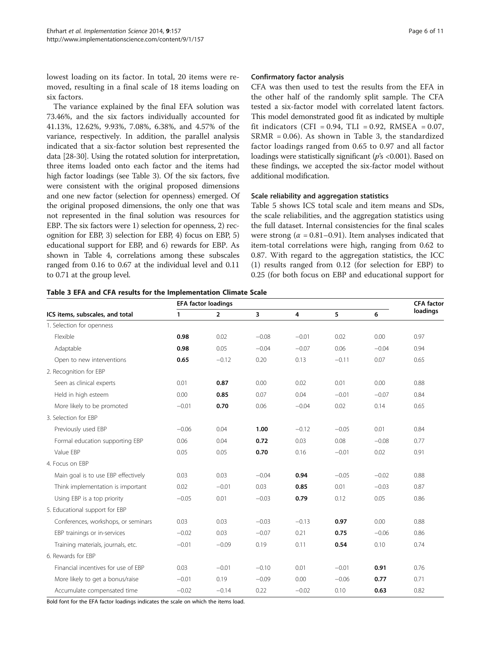lowest loading on its factor. In total, 20 items were removed, resulting in a final scale of 18 items loading on six factors.

The variance explained by the final EFA solution was 73.46%, and the six factors individually accounted for 41.13%, 12.62%, 9.93%, 7.08%, 6.38%, and 4.57% of the variance, respectively. In addition, the parallel analysis indicated that a six-factor solution best represented the data [[28](#page-10-0)-[30](#page-10-0)]. Using the rotated solution for interpretation, three items loaded onto each factor and the items had high factor loadings (see Table 3). Of the six factors, five were consistent with the original proposed dimensions and one new factor (selection for openness) emerged. Of the original proposed dimensions, the only one that was not represented in the final solution was resources for EBP. The six factors were 1) selection for openness, 2) recognition for EBP, 3) selection for EBP, 4) focus on EBP, 5) educational support for EBP, and 6) rewards for EBP. As shown in Table [4,](#page-6-0) correlations among these subscales ranged from 0.16 to 0.67 at the individual level and 0.11 to 0.71 at the group level.

### Confirmatory factor analysis

CFA was then used to test the results from the EFA in the other half of the randomly split sample. The CFA tested a six-factor model with correlated latent factors. This model demonstrated good fit as indicated by multiple fit indicators (CFI =  $0.94$ , TLI =  $0.92$ , RMSEA =  $0.07$ , SRMR = 0.06). As shown in Table 3, the standardized factor loadings ranged from 0.65 to 0.97 and all factor loadings were statistically significant ( $p$ 's <0.001). Based on these findings, we accepted the six-factor model without additional modification.

# Scale reliability and aggregation statistics

Table [5](#page-6-0) shows ICS total scale and item means and SDs, the scale reliabilities, and the aggregation statistics using the full dataset. Internal consistencies for the final scales were strong ( $\alpha$  = 0.81–0.91). Item analyses indicated that item-total correlations were high, ranging from 0.62 to 0.87. With regard to the aggregation statistics, the ICC (1) results ranged from 0.12 (for selection for EBP) to 0.25 (for both focus on EBP and educational support for

| Table 3 EFA and CFA results for the Implementation Climate Scale |
|------------------------------------------------------------------|
|------------------------------------------------------------------|

|                                     | <b>EFA factor loadings</b> |                |                         |         |         |         |          |
|-------------------------------------|----------------------------|----------------|-------------------------|---------|---------|---------|----------|
| ICS items, subscales, and total     | 1                          | $\overline{2}$ | $\overline{\mathbf{3}}$ | 4       | 5       | 6       | loadings |
| 1. Selection for openness           |                            |                |                         |         |         |         |          |
| Flexible                            | 0.98                       | 0.02           | $-0.08$                 | $-0.01$ | 0.02    | 0.00    | 0.97     |
| Adaptable                           | 0.98                       | 0.05           | $-0.04$                 | $-0.07$ | 0.06    | $-0.04$ | 0.94     |
| Open to new interventions           | 0.65                       | $-0.12$        | 0.20                    | 0.13    | $-0.11$ | 0.07    | 0.65     |
| 2. Recognition for EBP              |                            |                |                         |         |         |         |          |
| Seen as clinical experts            | 0.01                       | 0.87           | 0.00                    | 0.02    | 0.01    | 0.00    | 0.88     |
| Held in high esteem                 | 0.00                       | 0.85           | 0.07                    | 0.04    | $-0.01$ | $-0.07$ | 0.84     |
| More likely to be promoted          | $-0.01$                    | 0.70           | 0.06                    | $-0.04$ | 0.02    | 0.14    | 0.65     |
| 3. Selection for EBP                |                            |                |                         |         |         |         |          |
| Previously used EBP                 | $-0.06$                    | 0.04           | 1.00                    | $-0.12$ | $-0.05$ | 0.01    | 0.84     |
| Formal education supporting EBP     | 0.06                       | 0.04           | 0.72                    | 0.03    | 0.08    | $-0.08$ | 0.77     |
| Value EBP                           | 0.05                       | 0.05           | 0.70                    | 0.16    | $-0.01$ | 0.02    | 0.91     |
| 4. Focus on EBP                     |                            |                |                         |         |         |         |          |
| Main goal is to use EBP effectively | 0.03                       | 0.03           | $-0.04$                 | 0.94    | $-0.05$ | $-0.02$ | 0.88     |
| Think implementation is important   | 0.02                       | $-0.01$        | 0.03                    | 0.85    | 0.01    | $-0.03$ | 0.87     |
| Using EBP is a top priority         | $-0.05$                    | 0.01           | $-0.03$                 | 0.79    | 0.12    | 0.05    | 0.86     |
| 5. Educational support for EBP      |                            |                |                         |         |         |         |          |
| Conferences, workshops, or seminars | 0.03                       | 0.03           | $-0.03$                 | $-0.13$ | 0.97    | 0.00    | 0.88     |
| EBP trainings or in-services        | $-0.02$                    | 0.03           | $-0.07$                 | 0.21    | 0.75    | $-0.06$ | 0.86     |
| Training materials, journals, etc.  | $-0.01$                    | $-0.09$        | 0.19                    | 0.11    | 0.54    | 0.10    | 0.74     |
| 6. Rewards for FBP                  |                            |                |                         |         |         |         |          |
| Financial incentives for use of EBP | 0.03                       | $-0.01$        | $-0.10$                 | 0.01    | $-0.01$ | 0.91    | 0.76     |
| More likely to get a bonus/raise    | $-0.01$                    | 0.19           | $-0.09$                 | 0.00    | $-0.06$ | 0.77    | 0.71     |
| Accumulate compensated time         | $-0.02$                    | $-0.14$        | 0.22                    | $-0.02$ | 0.10    | 0.63    | 0.82     |

Bold font for the EFA factor loadings indicates the scale on which the items load.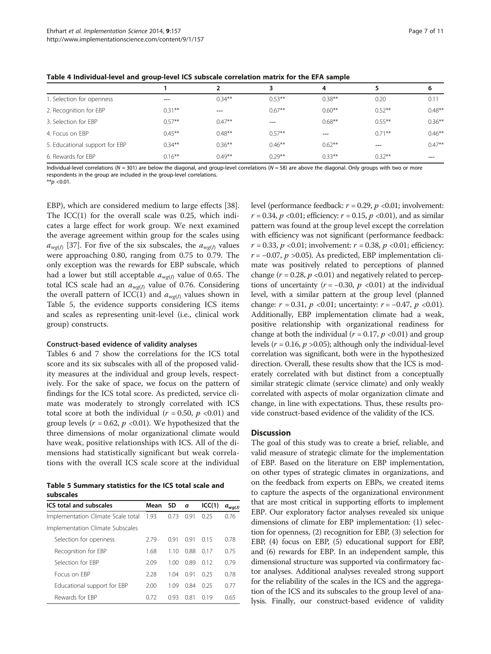<span id="page-6-0"></span>

| Table 4 Individual-level and group-level ICS subscale correlation matrix for the EFA sample |  |
|---------------------------------------------------------------------------------------------|--|
|                                                                                             |  |

|                                |           |           |           | 4         |           | 6         |
|--------------------------------|-----------|-----------|-----------|-----------|-----------|-----------|
| 1. Selection for openness      | $---$     | $0.34***$ | $0.53***$ | $0.38***$ | 0.20      | 0.11      |
| 2. Recognition for EBP         | $0.31***$ | $---$     | $0.67***$ | $0.60***$ | $0.52***$ | $0.48***$ |
| 3. Selection for FBP           | $0.57***$ | $0.47***$ | $---$     | $0.68***$ | $0.55***$ | $0.36***$ |
| 4. Focus on EBP                | $0.45***$ | $0.48***$ | $0.57***$ | $---$     | $0.71***$ | $0.46***$ |
| 5. Educational support for EBP | $0.34***$ | $0.36***$ | $0.46***$ | $0.62***$ | $---$     | $0.47***$ |
| 6. Rewards for FBP             | $0.16***$ | $0.49***$ | $0.29***$ | $0.33***$ | $0.32***$ | ---       |

Individual-level correlations ( $N = 301$ ) are below the diagonal, and group-level correlations ( $N = 58$ ) are above the diagonal. Only groups with two or more respondents in the group are included in the group-level correlations.

\*\* $p$  < 0.01.

EBP), which are considered medium to large effects [\[38](#page-10-0)]. The ICC(1) for the overall scale was 0.25, which indicates a large effect for work group. We next examined the average agreement within group for the scales using  $a_{w\varrho(\ell)}$  [[37\]](#page-10-0). For five of the six subscales, the  $a_{w\varrho(\ell)}$  values were approaching 0.80, ranging from 0.75 to 0.79. The only exception was the rewards for EBP subscale, which had a lower but still acceptable  $a_{wg(J)}$  value of 0.65. The total ICS scale had an  $a_{wg(f)}$  value of 0.76. Considering the overall pattern of ICC(1) and  $a_{wg(l)}$  values shown in Table 5, the evidence supports considering ICS items and scales as representing unit-level (i.e., clinical work group) constructs.

#### Construct-based evidence of validity analyses

Tables [6](#page-7-0) and [7](#page-7-0) show the correlations for the ICS total score and its six subscales with all of the proposed validity measures at the individual and group levels, respectively. For the sake of space, we focus on the pattern of findings for the ICS total score. As predicted, service climate was moderately to strongly correlated with ICS total score at both the individual ( $r = 0.50$ ,  $p < 0.01$ ) and group levels ( $r = 0.62$ ,  $p \le 0.01$ ). We hypothesized that the three dimensions of molar organizational climate would have weak, positive relationships with ICS. All of the dimensions had statistically significant but weak correlations with the overall ICS scale score at the individual

Table 5 Summary statistics for the ICS total scale and subscales

| <b>ICS</b> total and subscales     | Mean | SD   |      | ICC(1) |             |
|------------------------------------|------|------|------|--------|-------------|
|                                    |      |      | α    |        | $a_{wg(J)}$ |
| Implementation Climate Scale total | 1.93 | በ 73 | 091  | በ 25   | 0.76        |
| Implementation Climate Subscales   |      |      |      |        |             |
| Selection for openness             | 2.79 | O 91 | 0.91 | 0.15   | 0.78        |
| Recognition for EBP                | 1.68 | 110  | 0.88 | 0.17   | 0.75        |
| Selection for EBP                  | 2.09 | 1.00 | 0.89 | 0.12   | 0.79        |
| Focus on FRP                       | 2.28 | 1 04 | 0.91 | 0.25   | 0.78        |
| Educational support for EBP        | 2.00 | 1.09 | 0.84 | በ 25   | 0.77        |
| Rewards for FRP                    | በ 72 | O 93 | 0.81 | በ 19   | 0.65        |

level (performance feedback:  $r = 0.29$ ,  $p < 0.01$ ; involvement:  $r = 0.34$ ,  $p < 0.01$ ; efficiency:  $r = 0.15$ ,  $p < 0.01$ ), and as similar pattern was found at the group level except the correlation with efficiency was not significant (performance feedback:  $r = 0.33, p < 0.01$ ; involvement:  $r = 0.38, p < 0.01$ ; efficiency:  $r = -0.07$ ,  $p > 0.05$ ). As predicted, EBP implementation climate was positively related to perceptions of planned change ( $r = 0.28$ ,  $p < 0.01$ ) and negatively related to perceptions of uncertainty ( $r = -0.30$ ,  $p < 0.01$ ) at the individual level, with a similar pattern at the group level (planned change:  $r = 0.31$ ,  $p < 0.01$ ; uncertainty:  $r = -0.47$ ,  $p < 0.01$ ). Additionally, EBP implementation climate had a weak, positive relationship with organizational readiness for change at both the individual ( $r = 0.17$ ,  $p < 0.01$ ) and group levels ( $r = 0.16$ ,  $p > 0.05$ ); although only the individual-level correlation was significant, both were in the hypothesized direction. Overall, these results show that the ICS is moderately correlated with but distinct from a conceptually similar strategic climate (service climate) and only weakly correlated with aspects of molar organization climate and change, in line with expectations. Thus, these results provide construct-based evidence of the validity of the ICS.

#### Discussion

The goal of this study was to create a brief, reliable, and valid measure of strategic climate for the implementation of EBP. Based on the literature on EBP implementation, on other types of strategic climates in organizations, and on the feedback from experts on EBPs, we created items to capture the aspects of the organizational environment that are most critical in supporting efforts to implement EBP. Our exploratory factor analyses revealed six unique dimensions of climate for EBP implementation: (1) selection for openness, (2) recognition for EBP, (3) selection for EBP, (4) focus on EBP, (5) educational support for EBP, and (6) rewards for EBP. In an independent sample, this dimensional structure was supported via confirmatory factor analyses. Additional analyses revealed strong support for the reliability of the scales in the ICS and the aggregation of the ICS and its subscales to the group level of analysis. Finally, our construct-based evidence of validity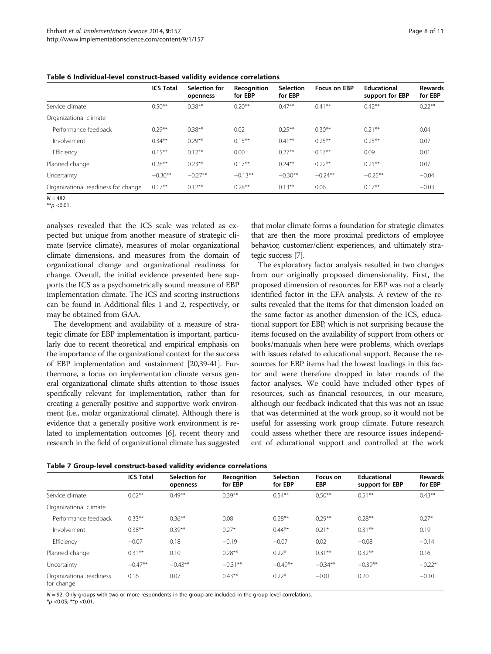<span id="page-7-0"></span>

| Table 6 Individual-level construct-based validity evidence correlations |  |  |  |  |
|-------------------------------------------------------------------------|--|--|--|--|
|-------------------------------------------------------------------------|--|--|--|--|

|                                     | <b>ICS Total</b> | Selection for<br>openness | Recognition<br>for EBP | <b>Selection</b><br>for EBP | <b>Focus on EBP</b> | Educational<br>support for EBP | <b>Rewards</b><br>for EBP |
|-------------------------------------|------------------|---------------------------|------------------------|-----------------------------|---------------------|--------------------------------|---------------------------|
| Service climate                     | $0.50**$         | $0.38***$                 | $0.20**$               | $0.47***$                   | $0.41***$           | $0.42***$                      | $0.22***$                 |
| Organizational climate              |                  |                           |                        |                             |                     |                                |                           |
| Performance feedback                | $0.29***$        | $0.38***$                 | 0.02                   | $0.25***$                   | $0.30***$           | $0.21***$                      | 0.04                      |
| Involvement                         | $0.34***$        | $0.29***$                 | $0.15***$              | $0.41***$                   | $0.25***$           | $0.25***$                      | 0.07                      |
| Efficiency                          | $0.15***$        | $0.12***$                 | 0.00                   | $0.27***$                   | $0.17***$           | 0.09                           | 0.01                      |
| Planned change                      | $0.28**$         | $0.23***$                 | $0.17***$              | $0.24***$                   | $0.22***$           | $0.21***$                      | 0.07                      |
| Uncertainty                         | $-0.30**$        | $-0.27**$                 | $-0.13***$             | $-0.30**$                   | $-0.24**$           | $-0.25***$                     | $-0.04$                   |
| Organizational readiness for change | $0.17***$        | $0.12***$                 | $0.28***$              | $0.13***$                   | 0.06                | $0.17***$                      | $-0.03$                   |

 $N = 482$ 

 $**p < 0.01$ .

analyses revealed that the ICS scale was related as expected but unique from another measure of strategic climate (service climate), measures of molar organizational climate dimensions, and measures from the domain of organizational change and organizational readiness for change. Overall, the initial evidence presented here supports the ICS as a psychometrically sound measure of EBP implementation climate. The ICS and scoring instructions can be found in Additional files [1](#page-9-0) and [2,](#page-9-0) respectively, or may be obtained from GAA.

The development and availability of a measure of strategic climate for EBP implementation is important, particularly due to recent theoretical and empirical emphasis on the importance of the organizational context for the success of EBP implementation and sustainment [\[20,39](#page-10-0)-[41](#page-10-0)]. Furthermore, a focus on implementation climate versus general organizational climate shifts attention to those issues specifically relevant for implementation, rather than for creating a generally positive and supportive work environment (i.e., molar organizational climate). Although there is evidence that a generally positive work environment is related to implementation outcomes [[6\]](#page-9-0), recent theory and research in the field of organizational climate has suggested that molar climate forms a foundation for strategic climates that are then the more proximal predictors of employee behavior, customer/client experiences, and ultimately strategic success [[7\]](#page-10-0).

The exploratory factor analysis resulted in two changes from our originally proposed dimensionality. First, the proposed dimension of resources for EBP was not a clearly identified factor in the EFA analysis. A review of the results revealed that the items for that dimension loaded on the same factor as another dimension of the ICS, educational support for EBP, which is not surprising because the items focused on the availability of support from others or books/manuals when here were problems, which overlaps with issues related to educational support. Because the resources for EBP items had the lowest loadings in this factor and were therefore dropped in later rounds of the factor analyses. We could have included other types of resources, such as financial resources, in our measure, although our feedback indicated that this was not an issue that was determined at the work group, so it would not be useful for assessing work group climate. Future research could assess whether there are resource issues independent of educational support and controlled at the work

|  | Table 7 Group-level construct-based validity evidence correlations |  |  |  |
|--|--------------------------------------------------------------------|--|--|--|
|--|--------------------------------------------------------------------|--|--|--|

|                                        | <b>ICS Total</b> | Selection for<br>openness | Recognition<br>for EBP | <b>Selection</b><br>for EBP | Focus on<br><b>EBP</b> | Educational<br>support for EBP | <b>Rewards</b><br>for EBP |
|----------------------------------------|------------------|---------------------------|------------------------|-----------------------------|------------------------|--------------------------------|---------------------------|
| Service climate                        | $0.62***$        | $0.49**$                  | $0.39***$              | $0.54***$                   | $0.50**$               | $0.51***$                      | $0.43***$                 |
| Organizational climate                 |                  |                           |                        |                             |                        |                                |                           |
| Performance feedback                   | $0.33***$        | $0.36***$                 | 0.08                   | $0.28***$                   | $0.29**$               | $0.28***$                      | $0.27*$                   |
| Involvement                            | $0.38***$        | $0.39***$                 | $0.27*$                | $0.44***$                   | $0.21*$                | $0.31***$                      | 0.19                      |
| Efficiency                             | $-0.07$          | 0.18                      | $-0.19$                | $-0.07$                     | 0.02                   | $-0.08$                        | $-0.14$                   |
| Planned change                         | $0.31***$        | 0.10                      | $0.28**$               | $0.22*$                     | $0.31***$              | $0.32***$                      | 0.16                      |
| Uncertainty                            | $-0.47**$        | $-0.43**$                 | $-0.31**$              | $-0.49**$                   | $-0.34**$              | $-0.39**$                      | $-0.22*$                  |
| Organizational readiness<br>for change | 0.16             | 0.07                      | $0.43***$              | $0.22*$                     | $-0.01$                | 0.20                           | $-0.10$                   |

 $N = 92$ . Only groups with two or more respondents in the group are included in the group-level correlations.

 $*_{p}$  <0.05;  $*_{p}$  <0.01.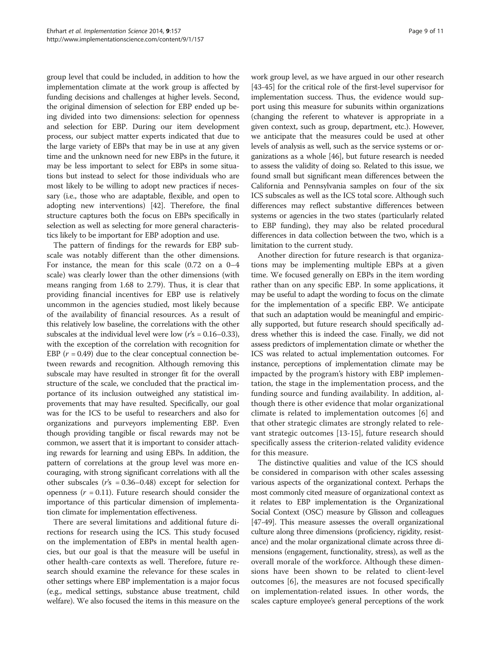group level that could be included, in addition to how the implementation climate at the work group is affected by funding decisions and challenges at higher levels. Second, the original dimension of selection for EBP ended up being divided into two dimensions: selection for openness and selection for EBP. During our item development process, our subject matter experts indicated that due to the large variety of EBPs that may be in use at any given time and the unknown need for new EBPs in the future, it may be less important to select for EBPs in some situations but instead to select for those individuals who are most likely to be willing to adopt new practices if necessary (i.e., those who are adaptable, flexible, and open to adopting new interventions) [[42](#page-10-0)]. Therefore, the final structure captures both the focus on EBPs specifically in selection as well as selecting for more general characteristics likely to be important for EBP adoption and use.

The pattern of findings for the rewards for EBP subscale was notably different than the other dimensions. For instance, the mean for this scale (0.72 on a 0–4 scale) was clearly lower than the other dimensions (with means ranging from 1.68 to 2.79). Thus, it is clear that providing financial incentives for EBP use is relatively uncommon in the agencies studied, most likely because of the availability of financial resources. As a result of this relatively low baseline, the correlations with the other subscales at the individual level were low  $(r's = 0.16 - 0.33)$ , with the exception of the correlation with recognition for EBP  $(r = 0.49)$  due to the clear conceptual connection between rewards and recognition. Although removing this subscale may have resulted in stronger fit for the overall structure of the scale, we concluded that the practical importance of its inclusion outweighed any statistical improvements that may have resulted. Specifically, our goal was for the ICS to be useful to researchers and also for organizations and purveyors implementing EBP. Even though providing tangible or fiscal rewards may not be common, we assert that it is important to consider attaching rewards for learning and using EBPs. In addition, the pattern of correlations at the group level was more encouraging, with strong significant correlations with all the other subscales ( $r$ 's = 0.36–0.48) except for selection for openness  $(r = 0.11)$ . Future research should consider the importance of this particular dimension of implementation climate for implementation effectiveness.

There are several limitations and additional future directions for research using the ICS. This study focused on the implementation of EBPs in mental health agencies, but our goal is that the measure will be useful in other health-care contexts as well. Therefore, future research should examine the relevance for these scales in other settings where EBP implementation is a major focus (e.g., medical settings, substance abuse treatment, child welfare). We also focused the items in this measure on the

work group level, as we have argued in our other research [[43](#page-10-0)-[45\]](#page-10-0) for the critical role of the first-level supervisor for implementation success. Thus, the evidence would support using this measure for subunits within organizations (changing the referent to whatever is appropriate in a given context, such as group, department, etc.). However, we anticipate that the measures could be used at other levels of analysis as well, such as the service systems or organizations as a whole [[46\]](#page-10-0), but future research is needed to assess the validity of doing so. Related to this issue, we found small but significant mean differences between the California and Pennsylvania samples on four of the six ICS subscales as well as the ICS total score. Although such differences may reflect substantive differences between systems or agencies in the two states (particularly related to EBP funding), they may also be related procedural differences in data collection between the two, which is a limitation to the current study.

Another direction for future research is that organizations may be implementing multiple EBPs at a given time. We focused generally on EBPs in the item wording rather than on any specific EBP. In some applications, it may be useful to adapt the wording to focus on the climate for the implementation of a specific EBP. We anticipate that such an adaptation would be meaningful and empirically supported, but future research should specifically address whether this is indeed the case. Finally, we did not assess predictors of implementation climate or whether the ICS was related to actual implementation outcomes. For instance, perceptions of implementation climate may be impacted by the program's history with EBP implementation, the stage in the implementation process, and the funding source and funding availability. In addition, although there is other evidence that molar organizational climate is related to implementation outcomes [\[6](#page-9-0)] and that other strategic climates are strongly related to relevant strategic outcomes [\[13-15](#page-10-0)], future research should specifically assess the criterion-related validity evidence for this measure.

The distinctive qualities and value of the ICS should be considered in comparison with other scales assessing various aspects of the organizational context. Perhaps the most commonly cited measure of organizational context as it relates to EBP implementation is the Organizational Social Context (OSC) measure by Glisson and colleagues [[47](#page-10-0)-[49](#page-10-0)]. This measure assesses the overall organizational culture along three dimensions (proficiency, rigidity, resistance) and the molar organizational climate across three dimensions (engagement, functionality, stress), as well as the overall morale of the workforce. Although these dimensions have been shown to be related to client-level outcomes [[6\]](#page-9-0), the measures are not focused specifically on implementation-related issues. In other words, the scales capture employee's general perceptions of the work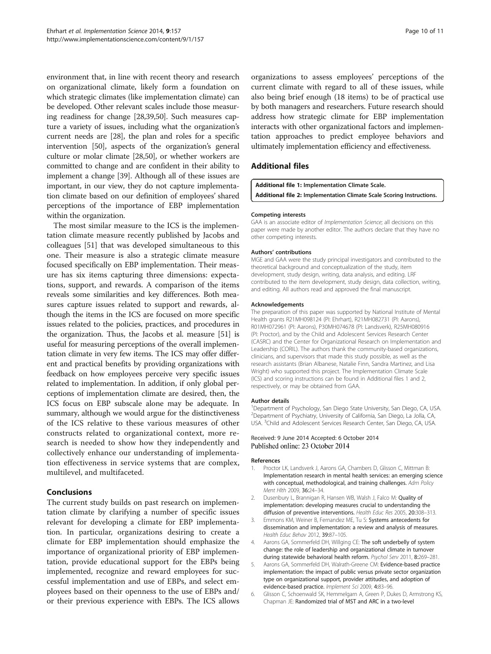<span id="page-9-0"></span>environment that, in line with recent theory and research on organizational climate, likely form a foundation on which strategic climates (like implementation climate) can be developed. Other relevant scales include those measuring readiness for change [\[28,39,50](#page-10-0)]. Such measures capture a variety of issues, including what the organization's current needs are [\[28\]](#page-10-0), the plan and roles for a specific intervention [\[50](#page-10-0)], aspects of the organization's general culture or molar climate [\[28,50](#page-10-0)], or whether workers are committed to change and are confident in their ability to implement a change [\[39\]](#page-10-0). Although all of these issues are important, in our view, they do not capture implementation climate based on our definition of employees' shared perceptions of the importance of EBP implementation within the organization.

The most similar measure to the ICS is the implementation climate measure recently published by Jacobs and colleagues [\[51](#page-10-0)] that was developed simultaneous to this one. Their measure is also a strategic climate measure focused specifically on EBP implementation. Their measure has six items capturing three dimensions: expectations, support, and rewards. A comparison of the items reveals some similarities and key differences. Both measures capture issues related to support and rewards, although the items in the ICS are focused on more specific issues related to the policies, practices, and procedures in the organization. Thus, the Jacobs et al. measure [\[51](#page-10-0)] is useful for measuring perceptions of the overall implementation climate in very few items. The ICS may offer different and practical benefits by providing organizations with feedback on how employees perceive very specific issues related to implementation. In addition, if only global perceptions of implementation climate are desired, then, the ICS focus on EBP subscale alone may be adequate. In summary, although we would argue for the distinctiveness of the ICS relative to these various measures of other constructs related to organizational context, more research is needed to show how they independently and collectively enhance our understanding of implementation effectiveness in service systems that are complex, multilevel, and multifaceted.

# Conclusions

The current study builds on past research on implementation climate by clarifying a number of specific issues relevant for developing a climate for EBP implementation. In particular, organizations desiring to create a climate for EBP implementation should emphasize the importance of organizational priority of EBP implementation, provide educational support for the EBPs being implemented, recognize and reward employees for successful implementation and use of EBPs, and select employees based on their openness to the use of EBPs and/ or their previous experience with EBPs. The ICS allows organizations to assess employees' perceptions of the current climate with regard to all of these issues, while also being brief enough (18 items) to be of practical use by both managers and researchers. Future research should address how strategic climate for EBP implementation interacts with other organizational factors and implementation approaches to predict employee behaviors and ultimately implementation efficiency and effectiveness.

# Additional files

[Additional file 1:](http://www.implementationscience.com/content/supplementary/s13012-014-0157-1-s1.pdf) Implementation Climate Scale. [Additional file 2:](http://www.implementationscience.com/content/supplementary/s13012-014-0157-1-s2.pdf) Implementation Climate Scale Scoring Instructions.

#### Competing interests

GAA is an associate editor of Implementation Science; all decisions on this paper were made by another editor. The authors declare that they have no other competing interests.

#### Authors' contributions

MGE and GAA were the study principal investigators and contributed to the theoretical background and conceptualization of the study, item development, study design, writing, data analysis, and editing. LRF contributed to the item development, study design, data collection, writing, and editing. All authors read and approved the final manuscript.

#### Acknowledgements

The preparation of this paper was supported by National Institute of Mental Health grants R21MH098124 (PI: Ehrhart), R21MH082731 (PI: Aarons), R01MH072961 (PI: Aarons), P30MH074678 (PI: Landsverk), R25MH080916 (PI: Proctor), and by the Child and Adolescent Services Research Center (CASRC) and the Center for Organizational Research on Implementation and Leadership (CORIL). The authors thank the community-based organizations, clinicians, and supervisors that made this study possible, as well as the research assistants (Brian Albanese, Natalie Finn, Sandra Martinez, and Lisa Wright) who supported this project. The Implementation Climate Scale (ICS) and scoring instructions can be found in Additional files 1 and 2, respectively, or may be obtained from GAA.

#### Author details

<sup>1</sup>Department of Psychology, San Diego State University, San Diego, CA, USA 2 Department of Psychiatry, University of California, San Diego, La Jolla, CA, USA. <sup>3</sup>Child and Adolescent Services Research Center, San Diego, CA, USA

#### Received: 9 June 2014 Accepted: 6 October 2014 Published online: 23 October 2014

#### References

- Proctor LK, Landsverk J, Aarons GA, Chambers D, Glisson C, Mittman B: Implementation research in mental health services: an emerging science with conceptual, methodological, and training challenges. Adm Policy Ment Hlth 2009, 36:24–34.
- 2. Dusenbury L, Brannigan R, Hansen WB, Walsh J, Falco M: Quality of implementation: developing measures crucial to understanding the diffusion of preventive interventions. Health Educ Res 2005, 20:308–313.
- 3. Emmons KM, Weiner B, Fernandez ME, Tu S: Systems antecedents for dissemination and implementation: a review and analysis of measures. Health Educ Behav 2012, 39:87–105.
- Aarons GA, Sommerfeld DH, Willging CE: The soft underbelly of system change: the role of leadership and organizational climate in turnover during statewide behavioral health reform. Psychol Serv 2011, 8:269-281.
- 5. Aarons GA, Sommerfeld DH, Walrath-Greene CM: Evidence-based practice implementation: the impact of public versus private sector organization type on organizational support, provider attitudes, and adoption of evidence-based practice. Implement Sci 2009, 4:83–96.
- 6. Glisson C, Schoenwald SK, Hemmelgarn A, Green P, Dukes D, Armstrong KS, Chapman JE: Randomized trial of MST and ARC in a two-level